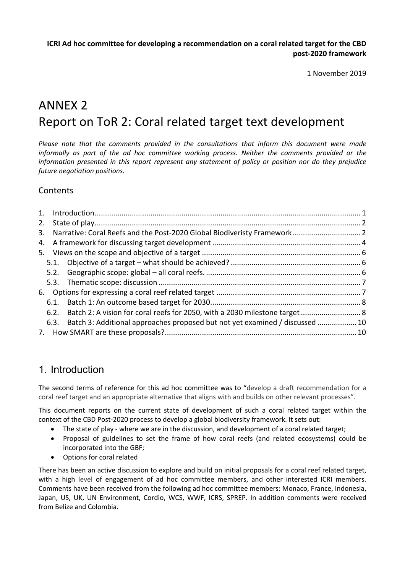**ICRI Ad hoc committee for developing a recommendation on a coral related target for the CBD post-2020 framework**

1 November 2019

# ANNEX 2 Report on ToR 2: Coral related target text development

*Please note that the comments provided in the consultations that inform this document were made informally as part of the ad hoc committee working process. Neither the comments provided or the information presented in this report represent any statement of policy or position nor do they prejudice future negotiation positions.* 

#### **Contents**

| 2. |      |                                                                                   |  |  |  |
|----|------|-----------------------------------------------------------------------------------|--|--|--|
| 3. |      |                                                                                   |  |  |  |
|    |      |                                                                                   |  |  |  |
|    |      |                                                                                   |  |  |  |
|    | 5.1. |                                                                                   |  |  |  |
|    | 5.2. |                                                                                   |  |  |  |
|    |      |                                                                                   |  |  |  |
|    |      |                                                                                   |  |  |  |
|    | 6.1. |                                                                                   |  |  |  |
|    | 6.2. | Batch 2: A vision for coral reefs for 2050, with a 2030 milestone target  8       |  |  |  |
|    |      | 6.3. Batch 3: Additional approaches proposed but not yet examined / discussed  10 |  |  |  |
|    |      |                                                                                   |  |  |  |
|    |      |                                                                                   |  |  |  |

### 1. Introduction

The second terms of reference for this ad hoc committee was to "develop a draft recommendation for a coral reef target and an appropriate alternative that aligns with and builds on other relevant processes".

This document reports on the current state of development of such a coral related target within the context of the CBD Post-2020 process to develop a global biodiversity framework. It sets out:

- The state of play where we are in the discussion, and development of a coral related target;
- Proposal of guidelines to set the frame of how coral reefs (and related ecosystems) could be incorporated into the GBF;
- Options for coral related

There has been an active discussion to explore and build on initial proposals for a coral reef related target, with a high level of engagement of ad hoc committee members, and other interested ICRI members. Comments have been received from the following ad hoc committee members: Monaco, France, Indonesia, Japan, US, UK, UN Environment, Cordio, WCS, WWF, ICRS, SPREP. In addition comments were received from Belize and Colombia.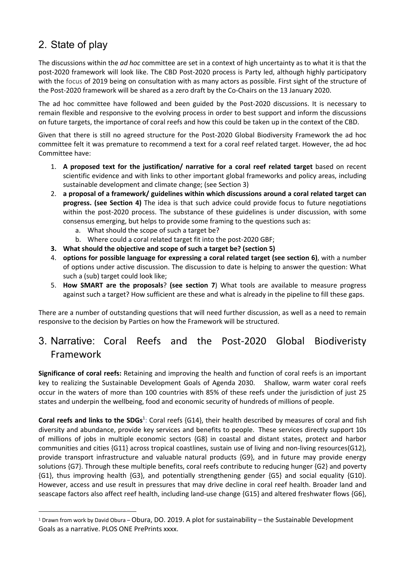# 2. State of play

The discussions within the *ad hoc* committee are set in a context of high uncertainty as to what it is that the post-2020 framework will look like. The CBD Post-2020 process is Party led, although highly participatory with the focus of 2019 being on consultation with as many actors as possible. First sight of the structure of the Post-2020 framework will be shared as a zero draft by the Co-Chairs on the 13 January 2020.

The ad hoc committee have followed and been guided by the Post-2020 discussions. It is necessary to remain flexible and responsive to the evolving process in order to best support and inform the discussions on future targets, the importance of coral reefs and how this could be taken up in the context of the CBD.

Given that there is still no agreed structure for the Post-2020 Global Biodiversity Framework the ad hoc committee felt it was premature to recommend a text for a coral reef related target. However, the ad hoc Committee have:

- 1. **A proposed text for the justification/ narrative for a coral reef related target** based on recent scientific evidence and with links to other important global frameworks and policy areas, including sustainable development and climate change; (see Section 3)
- 2. **a proposal of a framework/ guidelines within which discussions around a coral related target can progress. (see Section 4)** The idea is that such advice could provide focus to future negotiations within the post-2020 process. The substance of these guidelines is under discussion, with some consensus emerging, but helps to provide some framing to the questions such as:
	- a. What should the scope of such a target be?
	- b. Where could a coral related target fit into the post-2020 GBF;
- **3. What should the objective and scope of such a target be? (section 5)**
- 4. **options for possible language for expressing a coral related target (see section 6)**, with a number of options under active discussion. The discussion to date is helping to answer the question: What such a (sub) target could look like;
- 5. **How SMART are the proposals**? **(see section 7**) What tools are available to measure progress against such a target? How sufficient are these and what is already in the pipeline to fill these gaps.

There are a number of outstanding questions that will need further discussion, as well as a need to remain responsive to the decision by Parties on how the Framework will be structured.

## 3. Narrative: Coral Reefs and the Post-2020 Global Biodiveristy Framework

**Significance of coral reefs:** Retaining and improving the health and function of coral reefs is an important key to realizing the Sustainable Development Goals of Agenda 2030. Shallow, warm water coral reefs occur in the waters of more than 100 countries with 85% of these reefs under the jurisdiction of just 25 states and underpin the wellbeing, food and economic security of hundreds of millions of people.

Coral reefs and links to the SDGs<sup>1</sup>: Coral reefs {G14}, their health described by measures of coral and fish diversity and abundance, provide key services and benefits to people. These services directly support 10s of millions of jobs in multiple economic sectors {G8} in coastal and distant states, protect and harbor communities and cities {G11} across tropical coastlines, sustain use of living and non-living resources{G12}, provide transport infrastructure and valuable natural products {G9}, and in future may provide energy solutions {G7}. Through these multiple benefits, coral reefs contribute to reducing hunger {G2} and poverty {G1}, thus improving health {G3}, and potentially strengthening gender {G5} and social equality {G10}. However, access and use result in pressures that may drive decline in coral reef health. Broader land and seascape factors also affect reef health, including land-use change {G15} and altered freshwater flows {G6},

<sup>1</sup> Drawn from work by David Obura – Obura, DO. 2019. A plot for sustainability – the Sustainable Development Goals as a narrative. PLOS ONE PrePrints xxxx.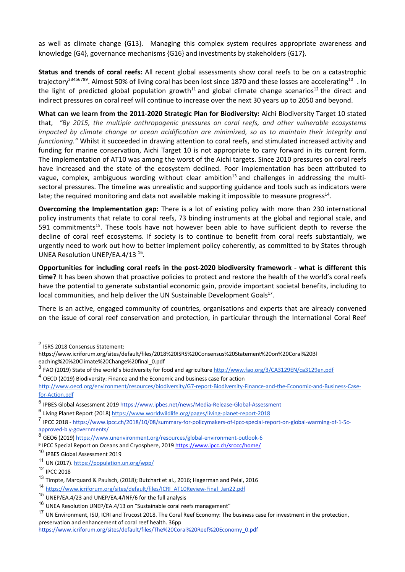as well as climate change {G13}. Managing this complex system requires appropriate awareness and knowledge {G4}, governance mechanisms {G16} and investments by stakeholders {G17}.

**Status and trends of coral reefs:** All recent global assessments show coral reefs to be on a catastrophic trajectory<sup>23456789</sup>. Almost 50% of living coral has been lost since 1870 and these losses are accelerating<sup>10</sup>. In the light of predicted global population growth<sup>11</sup> and global climate change scenarios<sup>12</sup> the direct and indirect pressures on coral reef will continue to increase over the next 30 years up to 2050 and beyond.

**What can we learn from the 2011-2020 Strategic Plan for Biodiversity:** Aichi Biodiversity Target 10 stated that, *"By 2015, the multiple anthropogenic pressures on coral reefs, and other vulnerable ecosystems impacted by climate change or ocean acidification are minimized, so as to maintain their integrity and functioning."* Whilst it succeeded in drawing attention to coral reefs, and stimulated increased activity and funding for marine conservation, Aichi Target 10 is not appropriate to carry forward in its current form. The implementation of AT10 was among the worst of the Aichi targets. Since 2010 pressures on coral reefs have increased and the state of the ecosystem declined. Poor implementation has been attributed to vague, complex, ambiguous wording without clear ambition<sup>13</sup> and challenges in addressing the multisectoral pressures. The timeline was unrealistic and supporting guidance and tools such as indicators were late; the required monitoring and data not available making it impossible to measure progress $^{14}$ .

**Overcoming the Implementation gap:** There is a lot of existing policy with more than 230 international policy instruments that relate to coral reefs, 73 binding instruments at the global and regional scale, and 591 commitments<sup>15</sup>. These tools have not however been able to have sufficient depth to reverse the decline of coral reef ecosystems. If society is to continue to benefit from coral reefs substantialy, we urgently need to work out how to better implement policy coherently, as committed to by States through UNEA Resolution UNEP/EA.4/13 16.

**Opportunities for including coral reefs in the post-2020 biodiversity framework - what is different this time?** It has been shown that proactive policies to protect and restore the health of the world's coral reefs have the potential to generate substantial economic gain, provide important societal benefits, including to local communities, and help deliver the UN Sustainable Development Goals $^{17}$ .

There is an active, engaged community of countries, organisations and experts that are already convened on the issue of coral reef conservation and protection, in particular through the International Coral Reef

- <sup>3</sup> FAO (2019) State of the world's biodiversity for food and agriculture http://www.fao.org/3/CA3129EN/ca3129en.pdf
- <sup>4</sup> OECD (2019) Biodiversity: Finance and the Economic and business case for action

<sup>2</sup> ISRS 2018 Consensus Statement:

https://www.icriforum.org/sites/default/files/2018%20ISRS%20Consensus%20Statement%20on%20Coral%20Bl eaching%20%20Climate%20Change%20final\_0.pdf

http://www.oecd.org/environment/resources/biodiversity/G7-report-Biodiversity-Finance-and-the-Economic-and-Business-Casefor-Action.pdf

<sup>5</sup> IPBES Global Assessment 2019 https://www.ipbes.net/news/Media-Release-Global-Assessment

<sup>6</sup> Living Planet Report (2018) https://www.worldwildlife.org/pages/living-planet-report-2018

<sup>7</sup> IPCC 2018 - https://www.ipcc.ch/2018/10/08/summary-for-policymakers-of-ipcc-special-report-on-global-warming-of-1-5capproved-b y-governments/

<sup>8</sup> GEO6 (2019) https://www.unenvironment.org/resources/global-environment-outlook-6

<sup>9</sup> IPCC Special Report on Oceans and Cryosphere, 2019 https://www.ipcc.ch/srocc/home/

<sup>10</sup> IPBES Global Assessment 2019

<sup>11</sup> UN (2017). https://population.un.org/wpp/

<sup>12</sup> IPCC 2018

<sup>13</sup> Timpte, Marquard & Paulsch, (2018); Butchart et al., 2016; Hagerman and Pelai, 2016

<sup>14</sup> https://www.icriforum.org/sites/default/files/ICRI\_AT10Review-Final\_Jan22.pdf

<sup>15</sup> UNEP/EA.4/23 and UNEP/EA.4/INF/6 for the full analysis

<sup>&</sup>lt;sup>16</sup> UNEA Resolution UNEP/EA.4/13 on "Sustainable coral reefs management"

<sup>&</sup>lt;sup>17</sup> UN Environment, ISU, ICRI and Trucost 2018. The Coral Reef Economy: The business case for investment in the protection, preservation and enhancement of coral reef health. 36pp

https://www.icriforum.org/sites/default/files/The%20Coral%20Reef%20Economy\_0.pdf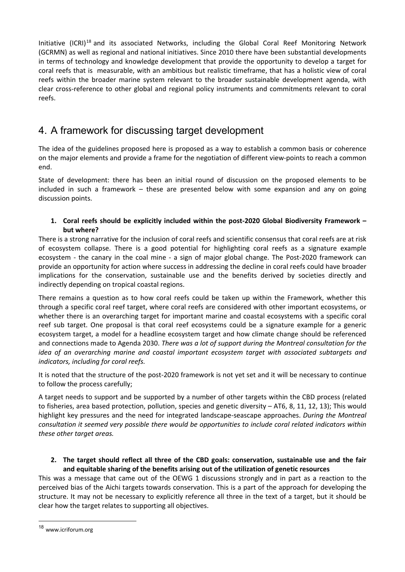Initiative (ICRI)<sup>18</sup> and its associated Networks, including the Global Coral Reef Monitoring Network (GCRMN) as well as regional and national initiatives. Since 2010 there have been substantial developments in terms of technology and knowledge development that provide the opportunity to develop a target for coral reefs that is measurable, with an ambitious but realistic timeframe, that has a holistic view of coral reefs within the broader marine system relevant to the broader sustainable development agenda, with clear cross-reference to other global and regional policy instruments and commitments relevant to coral reefs.

# 4. A framework for discussing target development

The idea of the guidelines proposed here is proposed as a way to establish a common basis or coherence on the major elements and provide a frame for the negotiation of different view-points to reach a common end.

State of development: there has been an initial round of discussion on the proposed elements to be included in such a framework – these are presented below with some expansion and any on going discussion points.

#### **1. Coral reefs should be explicitly included within the post-2020 Global Biodiversity Framework – but where?**

There is a strong narrative for the inclusion of coral reefs and scientific consensus that coral reefs are at risk of ecosystem collapse. There is a good potential for highlighting coral reefs as a signature example ecosystem - the canary in the coal mine - a sign of major global change. The Post-2020 framework can provide an opportunity for action where success in addressing the decline in coral reefs could have broader implications for the conservation, sustainable use and the benefits derived by societies directly and indirectly depending on tropical coastal regions.

There remains a question as to how coral reefs could be taken up within the Framework, whether this through a specific coral reef target, where coral reefs are considered with other important ecosystems, or whether there is an overarching target for important marine and coastal ecosystems with a specific coral reef sub target. One proposal is that coral reef ecosystems could be a signature example for a generic ecosystem target, a model for a headline ecosystem target and how climate change should be referenced and connections made to Agenda 2030. *There was a lot of support during the Montreal consultation for the idea of an overarching marine and coastal important ecosystem target with associated subtargets and indicators, including for coral reefs.*

It is noted that the structure of the post-2020 framework is not yet set and it will be necessary to continue to follow the process carefully;

A target needs to support and be supported by a number of other targets within the CBD process (related to fisheries, area based protection, pollution, species and genetic diversity – AT6, 8, 11, 12, 13); This would highlight key pressures and the need for integrated landscape-seascape approaches. *During the Montreal consultation it seemed very possible there would be opportunities to include coral related indicators within these other target areas.*

#### **2. The target should reflect all three of the CBD goals: conservation, sustainable use and the fair and equitable sharing of the benefits arising out of the utilization of genetic resources**

This was a message that came out of the OEWG 1 discussions strongly and in part as a reaction to the perceived bias of the Aichi targets towards conservation. This is a part of the approach for developing the structure. It may not be necessary to explicitly reference all three in the text of a target, but it should be clear how the target relates to supporting all objectives.

<sup>18</sup> www.icriforum.org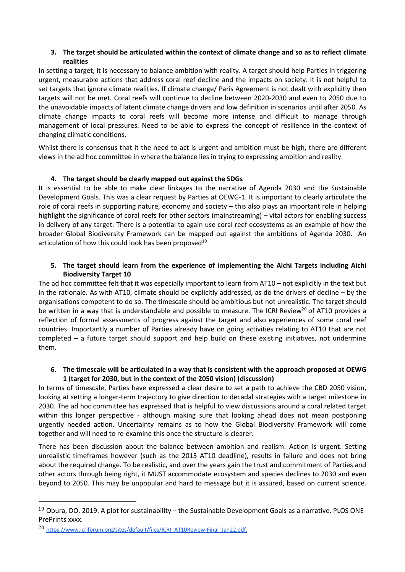#### **3. The target should be articulated within the context of climate change and so as to reflect climate realities**

In setting a target, it is necessary to balance ambition with reality. A target should help Parties in triggering urgent, measurable actions that address coral reef decline and the impacts on society. It is not helpful to set targets that ignore climate realities. If climate change/ Paris Agreement is not dealt with explicitly then targets will not be met. Coral reefs will continue to decline between 2020-2030 and even to 2050 due to the unavoidable impacts of latent climate change drivers and low definition in scenarios until after 2050. As climate change impacts to coral reefs will become more intense and difficult to manage through management of local pressures. Need to be able to express the concept of resilience in the context of changing climatic conditions.

Whilst there is consensus that it the need to act is urgent and ambition must be high, there are different views in the ad hoc committee in where the balance lies in trying to expressing ambition and reality.

#### **4. The target should be clearly mapped out against the SDGs**

It is essential to be able to make clear linkages to the narrative of Agenda 2030 and the Sustainable Development Goals. This was a clear request by Parties at OEWG-1. It is important to clearly articulate the role of coral reefs in supporting nature, economy and society – this also plays an important role in helping highlight the significance of coral reefs for other sectors (mainstreaming) – vital actors for enabling success in delivery of any target. There is a potential to again use coral reef ecosystems as an example of how the broader Global Biodiversity Framework can be mapped out against the ambitions of Agenda 2030. An articulation of how this could look has been proposed<sup>19</sup>

#### **5. The target should learn from the experience of implementing the Aichi Targets including Aichi Biodiversity Target 10**

The ad hoc committee felt that it was especially important to learn from AT10 – not explicitly in the text but in the rationale. As with AT10, climate should be explicitly addressed, as do the drivers of decline – by the organisations competent to do so. The timescale should be ambitious but not unrealistic. The target should be written in a way that is understandable and possible to measure. The ICRI Review<sup>20</sup> of AT10 provides a reflection of formal assessments of progress against the target and also experiences of some coral reef countries. Importantly a number of Parties already have on going activities relating to AT10 that are not completed – a future target should support and help build on these existing initiatives, not undermine them.

#### **6. The timescale will be articulated in a way that is consistent with the approach proposed at OEWG 1 (target for 2030, but in the context of the 2050 vision) (discussion)**

In terms of timescale, Parties have expressed a clear desire to set a path to achieve the CBD 2050 vision, looking at setting a longer-term trajectory to give direction to decadal strategies with a target milestone in 2030. The ad hoc committee has expressed that is helpful to view discussions around a coral related target within this longer perspective - although making sure that looking ahead does not mean postponing urgently needed action. Uncertainty remains as to how the Global Biodiversity Framework will come together and will need to re-examine this once the structure is clearer.

There has been discussion about the balance between ambition and realism. Action is urgent. Setting unrealistic timeframes however (such as the 2015 AT10 deadline), results in failure and does not bring about the required change. To be realistic, and over the years gain the trust and commitment of Parties and other actors through being right, it MUST accommodate ecosystem and species declines to 2030 and even beyond to 2050. This may be unpopular and hard to message but it is assured, based on current science.

 $19$  Obura, DO. 2019. A plot for sustainability – the Sustainable Development Goals as a narrative. PLOS ONE PrePrints xxxx.

<sup>&</sup>lt;sup>20</sup> https://www.icriforum.org/sites/default/files/ICRI\_AT10Review-Final\_Jan22.pdf.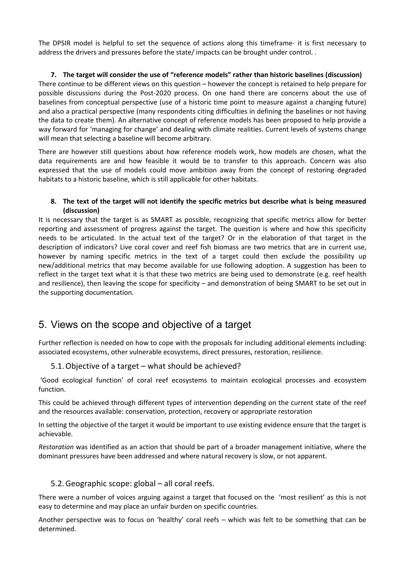The DPSIR model is helpful to set the sequence of actions along this timeframe- it is first necessary to address the drivers and pressures before the state/ impacts can be brought under control. .

#### **7. The target will consider the use of "reference models" rather than historic baselines (discussion)** There continue to be different views on this question – however the concept is retained to help prepare for possible discussions during the Post-2020 process. On one hand there are concerns about the use of baselines from conceptual perspective (use of a historic time point to measure against a changing future) and also a practical perspective (many respondents citing difficulties in defining the baselines or not having the data to create them). An alternative concept of reference models has been proposed to help provide a way forward for 'managing for change' and dealing with climate realities. Current levels of systems change will mean that selecting a baseline will become arbitrary.

There are however still questions about how reference models work, how models are chosen, what the data requirements are and how feasible it would be to transfer to this approach. Concern was also expressed that the use of models could move ambition away from the concept of restoring degraded habitats to a historic baseline, which is still applicable for other habitats.

#### **8. The text of the target will not identify the specific metrics but describe what is being measured (discussion)**

It is necessary that the target is as SMART as possible, recognizing that specific metrics allow for better reporting and assessment of progress against the target. The question is where and how this specificity needs to be articulated. In the actual text of the target? Or in the elaboration of that target in the description of indicators? Live coral cover and reef fish biomass are two metrics that are in current use, however by naming specific metrics in the text of a target could then exclude the possibility up new/additional metrics that may become available for use following adoption. A suggestion has been to reflect in the target text what it is that these two metrics are being used to demonstrate (e.g. reef health and resilience), then leaving the scope for specificity – and demonstration of being SMART to be set out in the supporting documentation.

# 5. Views on the scope and objective of a target

Further reflection is needed on how to cope with the proposals for including additional elements including: associated ecosystems, other vulnerable ecosystems, direct pressures, restoration, resilience.

#### 5.1.Objective of a target – what should be achieved?

'Good ecological function' of coral reef ecosystems to maintain ecological processes and ecosystem function.

This could be achieved through different types of intervention depending on the current state of the reef and the resources available: conservation, protection, recovery or appropriate restoration

In setting the objective of the target it would be important to use existing evidence ensure that the target is achievable.

*Restoration* was identified as an action that should be part of a broader management initiative, where the dominant pressures have been addressed and where natural recovery is slow, or not apparent.

#### 5.2.Geographic scope: global – all coral reefs.

There were a number of voices arguing against a target that focused on the 'most resilient' as this is not easy to determine and may place an unfair burden on specific countries.

Another perspective was to focus on 'healthy' coral reefs – which was felt to be something that can be determined.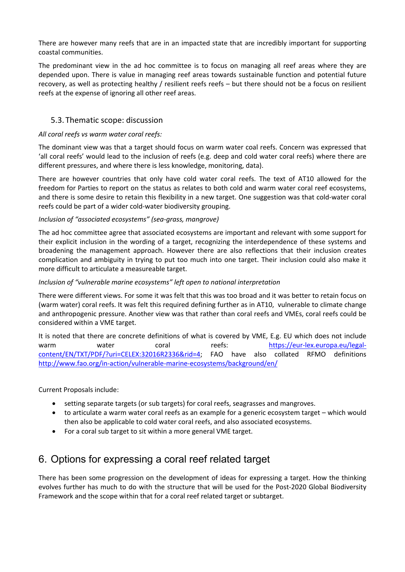There are however many reefs that are in an impacted state that are incredibly important for supporting coastal communities.

The predominant view in the ad hoc committee is to focus on managing all reef areas where they are depended upon. There is value in managing reef areas towards sustainable function and potential future recovery, as well as protecting healthy / resilient reefs reefs – but there should not be a focus on resilient reefs at the expense of ignoring all other reef areas.

#### 5.3. Thematic scope: discussion

#### *All coral reefs vs warm water coral reefs:*

The dominant view was that a target should focus on warm water coal reefs. Concern was expressed that 'all coral reefs' would lead to the inclusion of reefs (e.g. deep and cold water coral reefs) where there are different pressures, and where there is less knowledge, monitoring, data).

There are however countries that only have cold water coral reefs. The text of AT10 allowed for the freedom for Parties to report on the status as relates to both cold and warm water coral reef ecosystems, and there is some desire to retain this flexibility in a new target. One suggestion was that cold-water coral reefs could be part of a wider cold-water biodiversity grouping.

#### *Inclusion of "associated ecosystems" (sea-grass, mangrove)*

The ad hoc committee agree that associated ecosystems are important and relevant with some support for their explicit inclusion in the wording of a target, recognizing the interdependence of these systems and broadening the management approach. However there are also reflections that their inclusion creates complication and ambiguity in trying to put too much into one target. Their inclusion could also make it more difficult to articulate a measureable target.

#### *Inclusion of "vulnerable marine ecosystems" left open to national interpretation*

There were different views. For some it was felt that this was too broad and it was better to retain focus on (warm water) coral reefs. It was felt this required defining further as in AT10, vulnerable to climate change and anthropogenic pressure. Another view was that rather than coral reefs and VMEs, coral reefs could be considered within a VME target.

It is noted that there are concrete definitions of what is covered by VME, E.g. EU which does not include warm water coral reefs: https://eur-lex.europa.eu/legalcontent/EN/TXT/PDF/?uri=CELEX:32016R2336&rid=4; FAO have also collated RFMO definitions http://www.fao.org/in-action/vulnerable-marine-ecosystems/background/en/

Current Proposals include:

- setting separate targets (or sub targets) for coral reefs, seagrasses and mangroves.
- to articulate a warm water coral reefs as an example for a generic ecosystem target which would then also be applicable to cold water coral reefs, and also associated ecosystems.
- For a coral sub target to sit within a more general VME target.

### 6. Options for expressing a coral reef related target

There has been some progression on the development of ideas for expressing a target. How the thinking evolves further has much to do with the structure that will be used for the Post-2020 Global Biodiversity Framework and the scope within that for a coral reef related target or subtarget.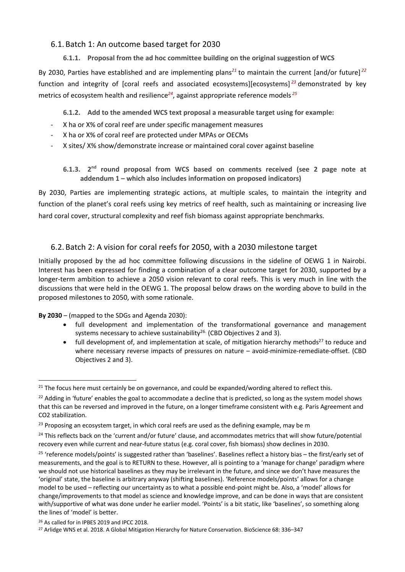#### 6.1. Batch 1: An outcome based target for 2030

#### **6.1.1. Proposal from the ad hoc committee building on the original suggestion of WCS**

By 2030, Parties have established and are implementing plans*<sup>21</sup>* to maintain the current [and/or future] *<sup>22</sup>* function and integrity of [coral reefs and associated ecosystems][ecosystems] *<sup>23</sup>* demonstrated by key metrics of ecosystem health and resilience*<sup>24</sup>*, against appropriate reference models *<sup>25</sup>*

**6.1.2. Add to the amended WCS text proposal a measurable target using for example:**

- X ha or X% of coral reef are under specific management measures
- X ha or X% of coral reef are protected under MPAs or OECMs
- X sites/ X% show/demonstrate increase or maintained coral cover against baseline

**6.1.3. 2nd round proposal from WCS based on comments received (see 2 page note at addendum 1 – which also includes information on proposed indicators)**

By 2030, Parties are implementing strategic actions, at multiple scales, to maintain the integrity and function of the planet's coral reefs using key metrics of reef health, such as maintaining or increasing live hard coral cover, structural complexity and reef fish biomass against appropriate benchmarks.

#### 6.2. Batch 2: A vision for coral reefs for 2050, with a 2030 milestone target

Initially proposed by the ad hoc committee following discussions in the sideline of OEWG 1 in Nairobi. Interest has been expressed for finding a combination of a clear outcome target for 2030, supported by a longer-term ambition to achieve a 2050 vision relevant to coral reefs. This is very much in line with the discussions that were held in the OEWG 1. The proposal below draws on the wording above to build in the proposed milestones to 2050, with some rationale.

**By 2030** – (mapped to the SDGs and Agenda 2030):

- full development and implementation of the transformational governance and management systems necessary to achieve sustainability<sup>26.</sup> (CBD Objectives 2 and 3).
- full development of, and implementation at scale, of mitigation hierarchy methods<sup>27</sup> to reduce and where necessary reverse impacts of pressures on nature – avoid-minimize-remediate-offset. (CBD Objectives 2 and 3).

 $21$  The focus here must certainly be on governance, and could be expanded/wording altered to reflect this.

 $^{22}$  Adding in 'future' enables the goal to accommodate a decline that is predicted, so long as the system model shows that this can be reversed and improved in the future, on a longer timeframe consistent with e.g. Paris Agreement and CO2 stabilization.

 $23$  Proposing an ecosystem target, in which coral reefs are used as the defining example, may be m

 $24$  This reflects back on the 'current and/or future' clause, and accommodates metrics that will show future/potential recovery even while current and near-future status (e.g. coral cover, fish biomass) show declines in 2030.

 $25$  'reference models/points' is suggested rather than 'baselines'. Baselines reflect a history bias – the first/early set of measurements, and the goal is to RETURN to these. However, all is pointing to a 'manage for change' paradigm where we should not use historical baselines as they may be irrelevant in the future, and since we don't have measures the 'original' state, the baseline is arbitrary anyway (shifting baselines). 'Reference models/points' allows for a change model to be used – reflecting our uncertainty as to what a possible end-point might be. Also, a 'model' allows for change/improvements to that model as science and knowledge improve, and can be done in ways that are consistent with/supportive of what was done under he earlier model. 'Points' is a bit static, like 'baselines', so something along the lines of 'model' is better.

<sup>26</sup> As called for in IPBES 2019 and IPCC 2018.

<sup>&</sup>lt;sup>27</sup> Arlidge WNS et al. 2018. A Global Mitigation Hierarchy for Nature Conservation. BioScience 68: 336-347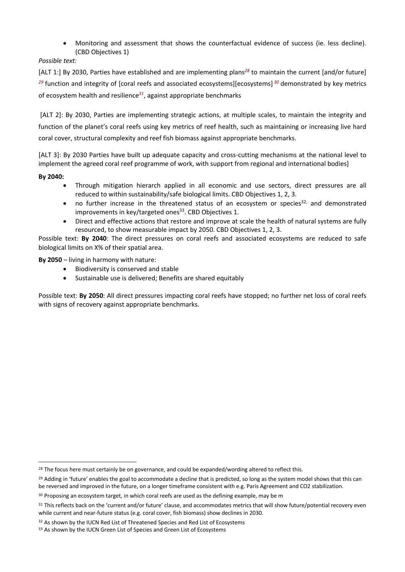• Monitoring and assessment that shows the counterfactual evidence of success (ie. less decline). (CBD Objectives 1)

*Possible text:*

[ALT 1:] By 2030, Parties have established and are implementing plans*<sup>28</sup>* to maintain the current [and/or future] *<sup>29</sup>* function and integrity of [coral reefs and associated ecosystems][ecosystems] *<sup>30</sup>* demonstrated by key metrics of ecosystem health and resilience*<sup>31</sup>*, against appropriate benchmarks

[ALT 2]: By 2030, Parties are implementing strategic actions, at multiple scales, to maintain the integrity and function of the planet's coral reefs using key metrics of reef health, such as maintaining or increasing live hard coral cover, structural complexity and reef fish biomass against appropriate benchmarks.

[ALT 3]: By 2030 Parties have built up adequate capacity and cross-cutting mechanisms at the national level to implement the agreed coral reef programme of work, with support from regional and international bodies]

**By 2040:**

- Through mitigation hierarch applied in all economic and use sectors, direct pressures are all reduced to within sustainability/safe biological limits. CBD Objectives 1, 2, 3.
- no further increase in the threatened status of an ecosystem or species<sup>32,</sup> and demonstrated improvements in key/targeted ones<sup>33</sup>. CBD Objectives 1.
- Direct and effective actions that restore and improve at scale the health of natural systems are fully resourced, to show measurable impact by 2050. CBD Objectives 1, 2, 3.

Possible text: **By 2040**: The direct pressures on coral reefs and associated ecosystems are reduced to safe biological limits on X% of their spatial area.

**By 2050** – living in harmony with nature:

- Biodiversity is conserved and stable
- Sustainable use is delivered; Benefits are shared equitably

Possible text: **By 2050**: All direct pressures impacting coral reefs have stopped; no further net loss of coral reefs with signs of recovery against appropriate benchmarks.

<sup>&</sup>lt;sup>28</sup> The focus here must certainly be on governance, and could be expanded/wording altered to reflect this.

<sup>&</sup>lt;sup>29</sup> Adding in 'future' enables the goal to accommodate a decline that is predicted, so long as the system model shows that this can be reversed and improved in the future, on a longer timeframe consistent with e.g. Paris Agreement and CO2 stabilization.

<sup>&</sup>lt;sup>30</sup> Proposing an ecosystem target, in which coral reefs are used as the defining example, may be m

<sup>31</sup> This reflects back on the 'current and/or future' clause, and accommodates metrics that will show future/potential recovery even while current and near-future status (e.g. coral cover, fish biomass) show declines in 2030.

<sup>&</sup>lt;sup>32</sup> As shown by the IUCN Red List of Threatened Species and Red List of Ecosystems

<sup>33</sup> As shown by the IUCN Green List of Species and Green List of Ecosystems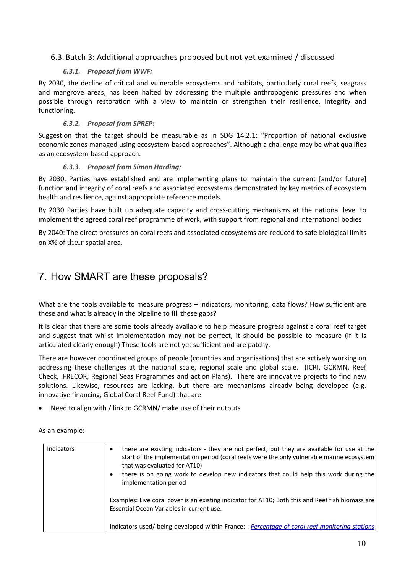#### 6.3. Batch 3: Additional approaches proposed but not yet examined / discussed

#### *6.3.1. Proposal from WWF:*

By 2030, the decline of critical and vulnerable ecosystems and habitats, particularly coral reefs, seagrass and mangrove areas, has been halted by addressing the multiple anthropogenic pressures and when possible through restoration with a view to maintain or strengthen their resilience, integrity and functioning.

#### *6.3.2. Proposal from SPREP:*

Suggestion that the target should be measurable as in SDG 14.2.1: "Proportion of national exclusive economic zones managed using ecosystem-based approaches". Although a challenge may be what qualifies as an ecosystem-based approach.

#### *6.3.3. Proposal from Simon Harding:*

By 2030, Parties have established and are implementing plans to maintain the current [and/or future] function and integrity of coral reefs and associated ecosystems demonstrated by key metrics of ecosystem health and resilience, against appropriate reference models.

By 2030 Parties have built up adequate capacity and cross-cutting mechanisms at the national level to implement the agreed coral reef programme of work, with support from regional and international bodies

By 2040: The direct pressures on coral reefs and associated ecosystems are reduced to safe biological limits on X% of their spatial area.

## 7. How SMART are these proposals?

What are the tools available to measure progress – indicators, monitoring, data flows? How sufficient are these and what is already in the pipeline to fill these gaps?

It is clear that there are some tools already available to help measure progress against a coral reef target and suggest that whilst implementation may not be perfect, it should be possible to measure (if it is articulated clearly enough) These tools are not yet sufficient and are patchy.

There are however coordinated groups of people (countries and organisations) that are actively working on addressing these challenges at the national scale, regional scale and global scale. (ICRI, GCRMN, Reef Check, IFRECOR, Regional Seas Programmes and action Plans). There are innovative projects to find new solutions. Likewise, resources are lacking, but there are mechanisms already being developed (e.g. innovative financing, Global Coral Reef Fund) that are

• Need to align with / link to GCRMN/ make use of their outputs

As an example:

| Indicators | there are existing indicators - they are not perfect, but they are available for use at the<br>start of the implementation period (coral reefs were the only vulnerable marine ecosystem<br>that was evaluated for AT10)<br>there is on going work to develop new indicators that could help this work during the<br>implementation period |
|------------|--------------------------------------------------------------------------------------------------------------------------------------------------------------------------------------------------------------------------------------------------------------------------------------------------------------------------------------------|
|            | Examples: Live coral cover is an existing indicator for AT10; Both this and Reef fish biomass are<br>Essential Ocean Variables in current use.<br>Indicators used/ being developed within France: : Percentage of coral reef monitoring stations                                                                                           |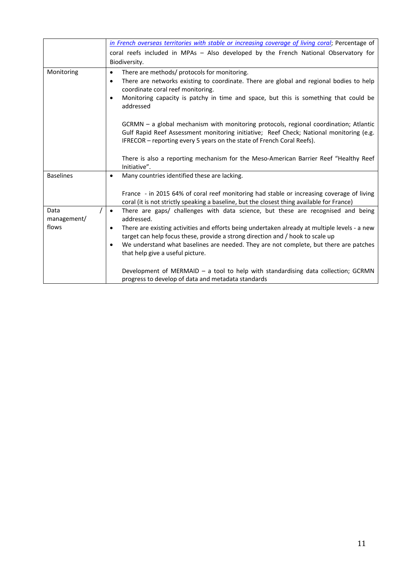|                     | in French overseas territories with stable or increasing coverage of living coral; Percentage of                                                                                                                                                           |  |
|---------------------|------------------------------------------------------------------------------------------------------------------------------------------------------------------------------------------------------------------------------------------------------------|--|
|                     | coral reefs included in MPAs - Also developed by the French National Observatory for                                                                                                                                                                       |  |
|                     | Biodiversity.                                                                                                                                                                                                                                              |  |
| Monitoring          | There are methods/ protocols for monitoring.<br>$\bullet$                                                                                                                                                                                                  |  |
|                     | There are networks existing to coordinate. There are global and regional bodies to help<br>٠                                                                                                                                                               |  |
|                     | coordinate coral reef monitoring.                                                                                                                                                                                                                          |  |
|                     | Monitoring capacity is patchy in time and space, but this is something that could be<br>$\bullet$<br>addressed                                                                                                                                             |  |
|                     |                                                                                                                                                                                                                                                            |  |
|                     | GCRMN - a global mechanism with monitoring protocols, regional coordination; Atlantic<br>Gulf Rapid Reef Assessment monitoring initiative; Reef Check; National monitoring (e.g.<br>IFRECOR - reporting every 5 years on the state of French Coral Reefs). |  |
|                     | There is also a reporting mechanism for the Meso-American Barrier Reef "Healthy Reef<br>Initiative".                                                                                                                                                       |  |
| <b>Baselines</b>    | Many countries identified these are lacking.<br>$\bullet$                                                                                                                                                                                                  |  |
|                     |                                                                                                                                                                                                                                                            |  |
|                     | France - in 2015 64% of coral reef monitoring had stable or increasing coverage of living                                                                                                                                                                  |  |
|                     | coral (it is not strictly speaking a baseline, but the closest thing available for France)                                                                                                                                                                 |  |
| Data<br>management/ | There are gaps/ challenges with data science, but these are recognised and being<br>$\bullet$<br>addressed.                                                                                                                                                |  |
| flows               | There are existing activities and efforts being undertaken already at multiple levels - a new<br>٠                                                                                                                                                         |  |
|                     | target can help focus these, provide a strong direction and / hook to scale up                                                                                                                                                                             |  |
|                     | We understand what baselines are needed. They are not complete, but there are patches<br>that help give a useful picture.                                                                                                                                  |  |
|                     |                                                                                                                                                                                                                                                            |  |
|                     | Development of MERMAID $-$ a tool to help with standardising data collection; GCRMN                                                                                                                                                                        |  |
|                     | progress to develop of data and metadata standards                                                                                                                                                                                                         |  |